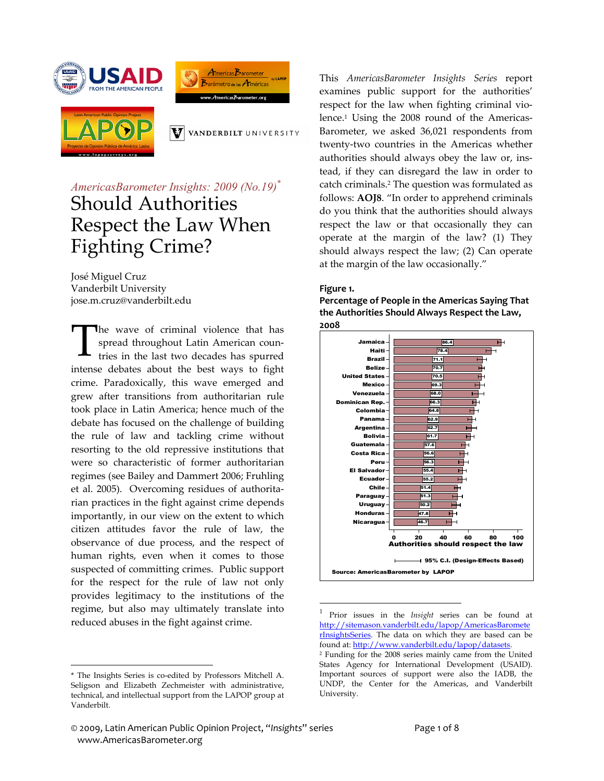





V VANDERBILT UNIVERSITY

# *AmericasBarometer Insights: 2009 (No.19)\** Should Authorities Respect the Law When Fighting Crime?

José Miguel Cruz Vanderbilt University jose.m.cruz@vanderbilt.edu

The wave of criminal violence that has spread throughout Latin American coun‐ tries in the last two decades has spurred intense debates about the best ways to fight crime. Paradoxically, this wave emerged and grew after transitions from authoritarian rule took place in Latin America; hence much of the debate has focused on the challenge of building the rule of law and tackling crime without resorting to the old repressive institutions that were so characteristic of former authoritarian regimes (see Bailey and Dammert 2006; Fruhling et al. 2005). Overcoming residues of authorita‐ rian practices in the fight against crime depends importantly, in our view on the extent to which citizen attitudes favor the rule of law, the observance of due process, and the respect of human rights, even when it comes to those suspected of committing crimes. Public support for the respect for the rule of law not only provides legitimacy to the institutions of the regime, but also may ultimately translate into reduced abuses in the fight against crime. T

 $\overline{a}$ 

This *AmericasBarometer Insights Series* report examines public support for the authorities' respect for the law when fighting criminal violence.<sup>1</sup> Using the 2008 round of the Americas-Barometer, we asked 36,021 respondents from twenty‐two countries in the Americas whether authorities should always obey the law or, ins‐ tead, if they can disregard the law in order to catch criminals.2 The question was formulated as follows: **AOJ8**. "In order to apprehend criminals do you think that the authorities should always respect the law or that occasionally they can operate at the margin of the law? (1) They should always respect the law; (2) Can operate at the margin of the law occasionally."

#### **Figure 1.**

 $\overline{a}$ 

**Percentage of People in the Americas Saying That the Authorities Should Always Respect the Law, 2008**



<sup>1</sup> Prior issues in the *Insight* series can be found at http://sitemason.vanderbilt.edu/lapop/AmericasBaromete rInsightsSeries. The data on which they are based can be found at: http://www.vanderbilt.edu/lapop/datasets. 2 Funding for the 2008 series mainly came from the United

<sup>\*</sup> The Insights Series is co-edited by Professors Mitchell A. Seligson and Elizabeth Zechmeister with administrative, technical, and intellectual support from the LAPOP group at Vanderbilt.

States Agency for International Development (USAID). Important sources of support were also the IADB, the UNDP, the Center for the Americas, and Vanderbilt University.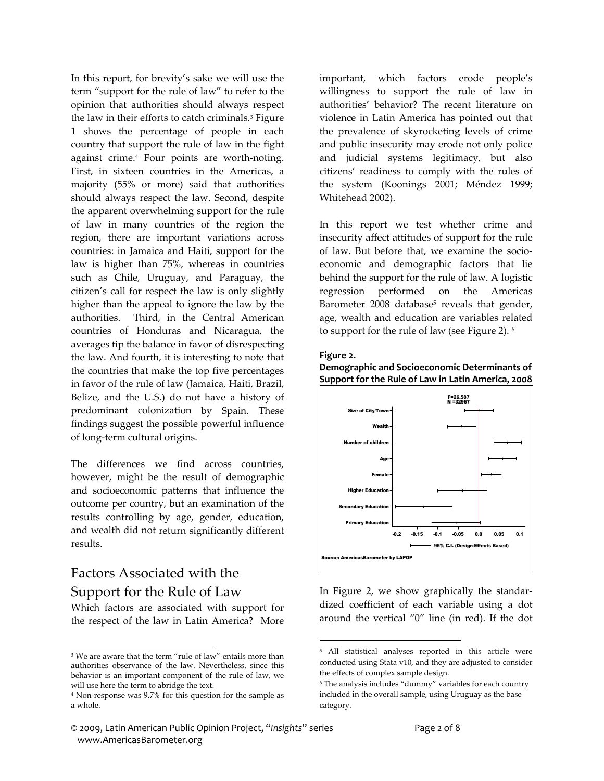In this report, for brevity's sake we will use the term "support for the rule of law" to refer to the opinion that authorities should always respect the law in their efforts to catch criminals.3 Figure 1 shows the percentage of people in each country that support the rule of law in the fight against crime.4 Four points are worth‐noting. First, in sixteen countries in the Americas, a majority (55% or more) said that authorities should always respect the law. Second, despite the apparent overwhelming support for the rule of law in many countries of the region the region, there are important variations across countries: in Jamaica and Haiti, support for the law is higher than 75%, whereas in countries such as Chile, Uruguay, and Paraguay, the citizen's call for respect the law is only slightly higher than the appeal to ignore the law by the authorities. Third, in the Central American countries of Honduras and Nicaragua, the averages tip the balance in favor of disrespecting the law. And fourth, it is interesting to note that the countries that make the top five percentages in favor of the rule of law (Jamaica, Haiti, Brazil, Belize, and the U.S.) do not have a history of predominant colonization by Spain. These findings suggest the possible powerful influence of long‐term cultural origins.

The differences we find across countries, however, might be the result of demographic and socioeconomic patterns that influence the outcome per country, but an examination of the results controlling by age, gender, education, and wealth did not return significantly different results.

## Factors Associated with the Support for the Rule of Law

 $\overline{a}$ 

Which factors are associated with support for the respect of the law in Latin America? More important, which factors erode people's willingness to support the rule of law in authorities' behavior? The recent literature on violence in Latin America has pointed out that the prevalence of skyrocketing levels of crime and public insecurity may erode not only police and judicial systems legitimacy, but also citizens' readiness to comply with the rules of the system (Koonings 2001; Méndez 1999; Whitehead 2002).

In this report we test whether crime and insecurity affect attitudes of support for the rule of law. But before that, we examine the socio‐ economic and demographic factors that lie behind the support for the rule of law. A logistic regression performed on the Americas Barometer 2008 database<sup>5</sup> reveals that gender, age, wealth and education are variables related to support for the rule of law (see Figure 2). <sup>6</sup>

#### **Figure 2.**

 $\overline{a}$ 

**Demographic and Socioeconomic Determinants of Support for the Rule of Law in Latin America, 2008**



In Figure 2, we show graphically the standar‐ dized coefficient of each variable using a dot around the vertical "0" line (in red). If the dot

<sup>&</sup>lt;sup>3</sup> We are aware that the term "rule of law" entails more than authorities observance of the law. Nevertheless, since this behavior is an important component of the rule of law, we will use here the term to abridge the text.

<sup>4</sup> Non-response was 9.7% for this question for the sample as a whole.

<sup>5</sup> All statistical analyses reported in this article were conducted using Stata v10, and they are adjusted to consider the effects of complex sample design.

<sup>6</sup> The analysis includes "dummy" variables for each country included in the overall sample, using Uruguay as the base category.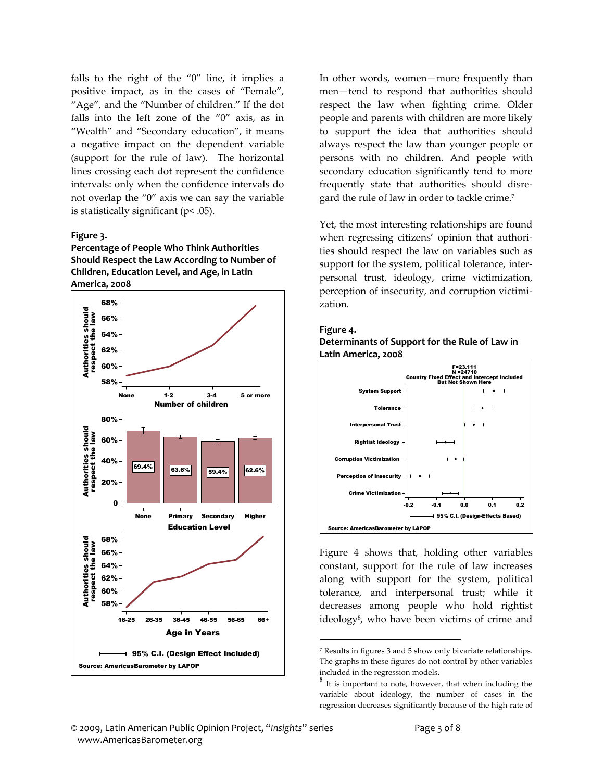falls to the right of the  $0$ " line, it implies a positive impact, as in the cases of "Female", "Age", and the "Number of children." If the dot falls into the left zone of the "0" axis, as in "Wealth" and "Secondary education", it means a negative impact on the dependent variable (support for the rule of law). The horizontal lines crossing each dot represent the confidence intervals: only when the confidence intervals do not overlap the "0" axis we can say the variable is statistically significant (p< .05).

#### **Figure 3.**

**Percentage of People Who Think Authorities Should Respect the Law According to Number of Children, Education Level, and Age, in Latin America, 2008**



In other words, women—more frequently than men—tend to respond that authorities should respect the law when fighting crime. Older people and parents with children are more likely to support the idea that authorities should always respect the law than younger people or persons with no children. And people with secondary education significantly tend to more frequently state that authorities should disre‐ gard the rule of law in order to tackle crime.<sup>7</sup>

Yet, the most interesting relationships are found when regressing citizens' opinion that authorities should respect the law on variables such as support for the system, political tolerance, interpersonal trust, ideology, crime victimization, perception of insecurity, and corruption victimi‐ zation.

#### **Figure 4. Determinants of Support for the Rule of Law in Latin America, 2008**



Figure 4 shows that, holding other variables constant, support for the rule of law increases along with support for the system, political tolerance, and interpersonal trust; while it decreases among people who hold rightist ideology<sup>8</sup>, who have been victims of crime and

 $\overline{a}$ 

<sup>7</sup> Results in figures 3 and 5 show only bivariate relationships. The graphs in these figures do not control by other variables included in the regression models.  $^8\,$  It is important to note, however, that when including the

variable about ideology, the number of cases in the regression decreases significantly because of the high rate of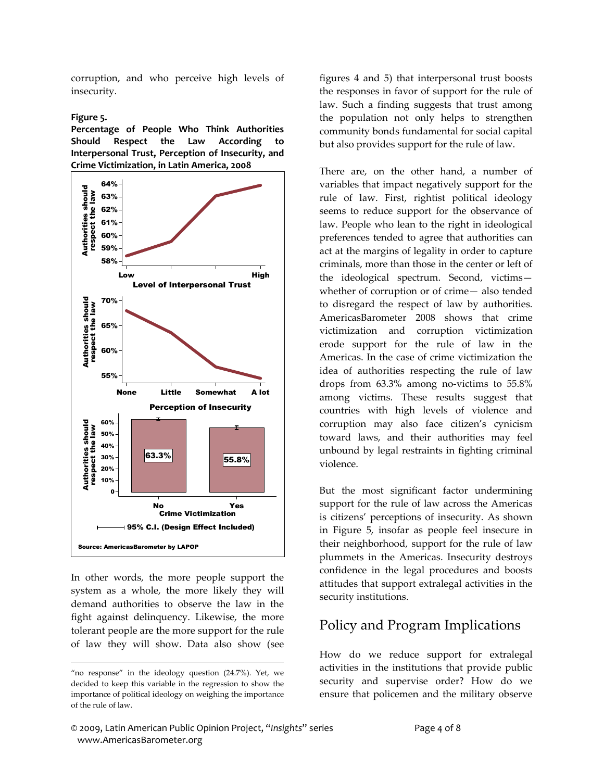corruption, and who perceive high levels of insecurity.

#### **Figure 5.**

**Percentage of People Who Think Authorities Should Respect the Law According to Interpersonal Trust, Perception of Insecurity, and Crime Victimization, in Latin America, 2008**



In other words, the more people support the system as a whole, the more likely they will demand authorities to observe the law in the fight against delinquency. Likewise, the more tolerant people are the more support for the rule of law they will show. Data also show (see

 $\overline{a}$ 

figures 4 and 5) that interpersonal trust boosts the responses in favor of support for the rule of law. Such a finding suggests that trust among the population not only helps to strengthen community bonds fundamental for social capital but also provides support for the rule of law.

There are, on the other hand, a number of variables that impact negatively support for the rule of law. First, rightist political ideology seems to reduce support for the observance of law. People who lean to the right in ideological preferences tended to agree that authorities can act at the margins of legality in order to capture criminals, more than those in the center or left of the ideological spectrum. Second, victims whether of corruption or of crime— also tended to disregard the respect of law by authorities. AmericasBarometer 2008 shows that crime victimization and corruption victimization erode support for the rule of law in the Americas. In the case of crime victimization the idea of authorities respecting the rule of law drops from 63.3% among no‐victims to 55.8% among victims. These results suggest that countries with high levels of violence and corruption may also face citizen's cynicism toward laws, and their authorities may feel unbound by legal restraints in fighting criminal violence.

But the most significant factor undermining support for the rule of law across the Americas is citizens' perceptions of insecurity. As shown in Figure 5, insofar as people feel insecure in their neighborhood, support for the rule of law plummets in the Americas. Insecurity destroys confidence in the legal procedures and boosts attitudes that support extralegal activities in the security institutions.

## Policy and Program Implications

How do we reduce support for extralegal activities in the institutions that provide public security and supervise order? How do we ensure that policemen and the military observe

<sup>&</sup>quot;no response" in the ideology question (24.7%). Yet, we decided to keep this variable in the regression to show the importance of political ideology on weighing the importance of the rule of law.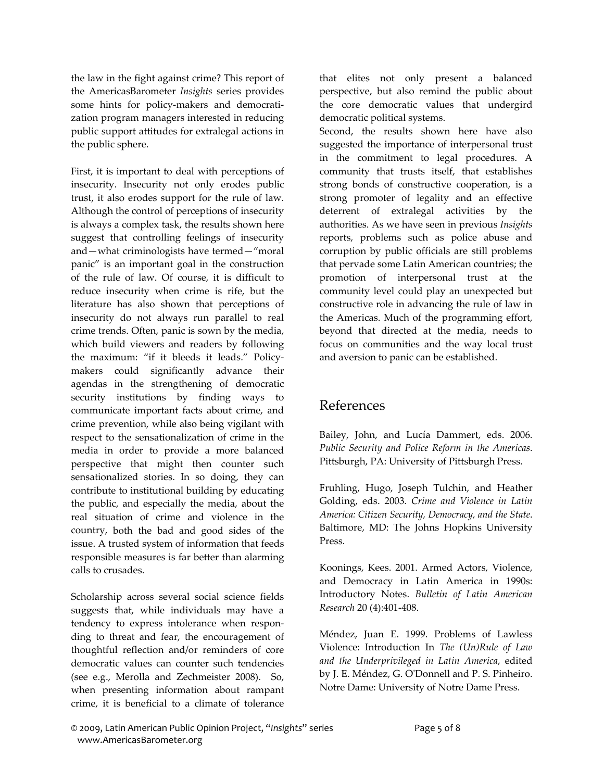the law in the fight against crime? This report of the AmericasBarometer *Insights* series provides some hints for policy-makers and democratization program managers interested in reducing public support attitudes for extralegal actions in the public sphere.

First, it is important to deal with perceptions of insecurity. Insecurity not only erodes public trust, it also erodes support for the rule of law. Although the control of perceptions of insecurity is always a complex task, the results shown here suggest that controlling feelings of insecurity and—what criminologists have termed—"moral panic" is an important goal in the construction of the rule of law. Of course, it is difficult to reduce insecurity when crime is rife, but the literature has also shown that perceptions of insecurity do not always run parallel to real crime trends. Often, panic is sown by the media, which build viewers and readers by following the maximum: "if it bleeds it leads." Policy‐ makers could significantly advance their agendas in the strengthening of democratic security institutions by finding ways to communicate important facts about crime, and crime prevention, while also being vigilant with respect to the sensationalization of crime in the media in order to provide a more balanced perspective that might then counter such sensationalized stories. In so doing, they can contribute to institutional building by educating the public, and especially the media, about the real situation of crime and violence in the country, both the bad and good sides of the issue. A trusted system of information that feeds responsible measures is far better than alarming calls to crusades.

Scholarship across several social science fields suggests that, while individuals may have a tendency to express intolerance when responding to threat and fear, the encouragement of thoughtful reflection and/or reminders of core democratic values can counter such tendencies (see e.g., Merolla and Zechmeister 2008). So, when presenting information about rampant crime, it is beneficial to a climate of tolerance that elites not only present a balanced perspective, but also remind the public about the core democratic values that undergird democratic political systems.

Second, the results shown here have also suggested the importance of interpersonal trust in the commitment to legal procedures. A community that trusts itself, that establishes strong bonds of constructive cooperation, is a strong promoter of legality and an effective deterrent of extralegal activities by the authorities. As we have seen in previous *Insights* reports, problems such as police abuse and corruption by public officials are still problems that pervade some Latin American countries; the promotion of interpersonal trust at the community level could play an unexpected but constructive role in advancing the rule of law in the Americas. Much of the programming effort, beyond that directed at the media, needs to focus on communities and the way local trust and aversion to panic can be established.

## References

Bailey, John, and Lucía Dammert, eds. 2006. *Public Security and Police Reform in the Americas*. Pittsburgh, PA: University of Pittsburgh Press.

Fruhling, Hugo, Joseph Tulchin, and Heather Golding, eds. 2003. *Crime and Violence in Latin America: Citizen Security, Democracy, and the State*. Baltimore, MD: The Johns Hopkins University Press.

Koonings, Kees. 2001. Armed Actors, Violence, and Democracy in Latin America in 1990s: Introductory Notes. *Bulletin of Latin American Research* 20 (4):401‐408.

Méndez, Juan E. 1999. Problems of Lawless Violence: Introduction In *The (Un)Rule of Law and the Underprivileged in Latin America*, edited by J. E. Méndez, G. OʹDonnell and P. S. Pinheiro. Notre Dame: University of Notre Dame Press.

<sup>©</sup> 2009, Latin American Public Opinion Project, "*Insights*" series Page 5 of 8 www.AmericasBarometer.org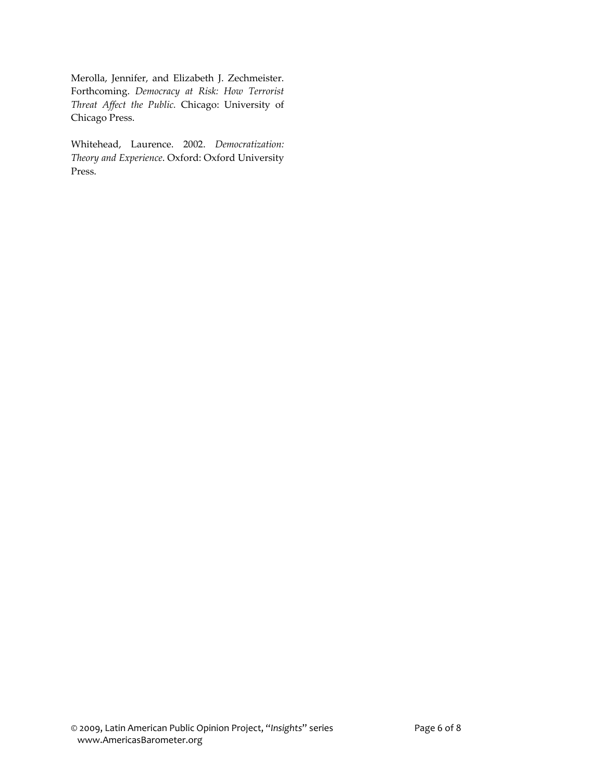Merolla, Jennifer, and Elizabeth J. Zechmeister. Forthcoming. *Democracy at Risk: How Terrorist Threat Affect the Public.* Chicago: University of Chicago Press.

Whitehead, Laurence. 2002. *Democratization: Theory and Experience*. Oxford: Oxford University Press.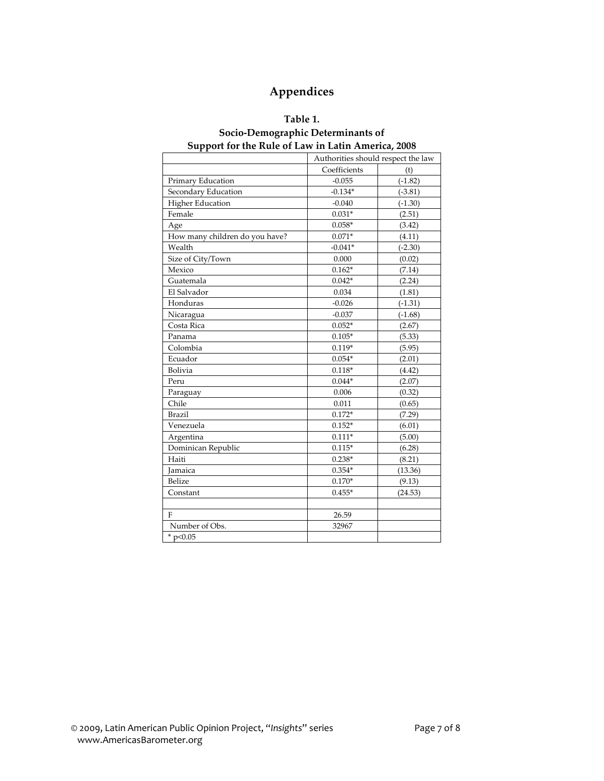### **Appendices**

#### **Table 1.**

### **Socio‐Demographic Determinants of Support for the Rule of Law in Latin America, 2008**

|                                | Authorities should respect the law |           |
|--------------------------------|------------------------------------|-----------|
|                                | Coefficients                       | (t)       |
| Primary Education              | $-0.055$                           | $(-1.82)$ |
| Secondary Education            | $-0.134*$                          | $(-3.81)$ |
| <b>Higher Education</b>        | $-0.040$                           | $(-1.30)$ |
| Female                         | $0.031*$                           | (2.51)    |
| Age                            | $0.058*$                           | (3.42)    |
| How many children do you have? | $0.071*$                           | (4.11)    |
| Wealth                         | $-0.041*$                          | $(-2.30)$ |
| Size of City/Town              | 0.000                              | (0.02)    |
| Mexico                         | $0.162*$                           | (7.14)    |
| Guatemala                      | $0.042*$                           | (2.24)    |
| El Salvador                    | 0.034                              | (1.81)    |
| Honduras                       | $-0.026$                           | $(-1.31)$ |
| Nicaragua                      | $-0.037$                           | $(-1.68)$ |
| Costa Rica                     | $0.052*$                           | (2.67)    |
| Panama                         | $0.105*$                           | (5.33)    |
| Colombia                       | $0.119*$                           | (5.95)    |
| Ecuador                        | $0.054*$                           | (2.01)    |
| Bolivia                        | $0.118*$                           | (4.42)    |
| Peru                           | $0.044*$                           | (2.07)    |
| Paraguay                       | 0.006                              | (0.32)    |
| Chile                          | 0.011                              | (0.65)    |
| <b>Brazil</b>                  | $0.172*$                           | (7.29)    |
| Venezuela                      | $0.152*$                           | (6.01)    |
| Argentina                      | $0.111*$                           | (5.00)    |
| Dominican Republic             | $0.115*$                           | (6.28)    |
| Haiti                          | $0.238*$                           | (8.21)    |
| <b>Jamaica</b>                 | $0.354*$                           | (13.36)   |
| Belize                         | $0.170*$                           | (9.13)    |
| Constant                       | $0.455*$                           | (24.53)   |
|                                |                                    |           |
| F                              | 26.59                              |           |
| Number of Obs.                 | 32967                              |           |
| * $p<0.05$                     |                                    |           |